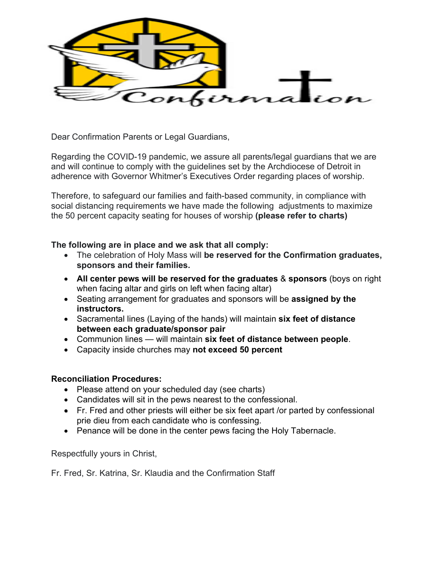

Dear Confirmation Parents or Legal Guardians,

Regarding the COVID-19 pandemic, we assure all parents/legal guardians that we are and will continue to comply with the guidelines set by the Archdiocese of Detroit in adherence with Governor Whitmer's Executives Order regarding places of worship.

Therefore, to safeguard our families and faith-based community, in compliance with social distancing requirements we have made the following adjustments to maximize the 50 percent capacity seating for houses of worship **(please refer to charts)**

## **The following are in place and we ask that all comply:**

- The celebration of Holy Mass will **be reserved for the Confirmation graduates, sponsors and their families.**
- **All center pews will be reserved for the graduates** & **sponsors** (boys on right when facing altar and girls on left when facing altar)
- Seating arrangement for graduates and sponsors will be **assigned by the instructors.**
- Sacramental lines (Laying of the hands) will maintain **six feet of distance between each graduate/sponsor pair**
- Communion lines will maintain **six feet of distance between people**.
- Capacity inside churches may **not exceed 50 percent**

## **Reconciliation Procedures:**

- Please attend on your scheduled day (see charts)
- Candidates will sit in the pews nearest to the confessional.
- Fr. Fred and other priests will either be six feet apart /or parted by confessional prie dieu from each candidate who is confessing.
- Penance will be done in the center pews facing the Holy Tabernacle.

Respectfully yours in Christ,

Fr. Fred, Sr. Katrina, Sr. Klaudia and the Confirmation Staff